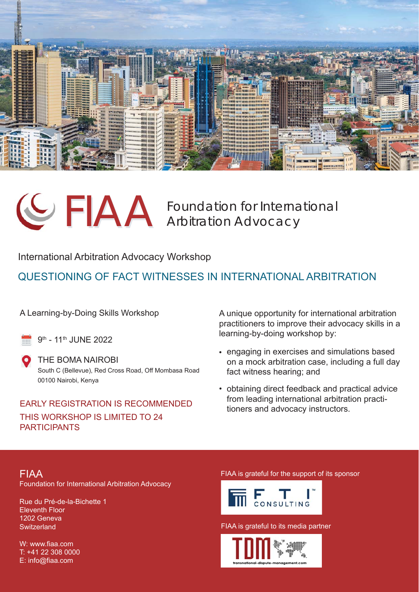



FIAA Foundation for International<br>Arbitration Advocacy

International Arbitration Advocacy Workshop

## QUESTIONING OF FACT WITNESSES IN INTERNATIONAL ARBITRATION

A Learning-by-Doing Skills Workshop

9th - 11th JUNE 2022

THE BOMA NAIROBI South C (Bellevue), Red Cross Road, Off Mombasa Road 00100 Nairobi, Kenya

## EARLY REGISTRATION IS RECOMMENDED THIS WORKSHOP IS LIMITED TO 24 PARTICIPANTS

A unique opportunity for international arbitration practitioners to improve their advocacy skills in a learning-by-doing workshop by:

- engaging in exercises and simulations based on a mock arbitration case, including a full day fact witness hearing; and
- obtaining direct feedback and practical advice from leading international arbitration practitioners and advocacy instructors.

### FIAA FIAA is grateful for the support of its sponsor Foundation for International Arbitration Advocacy

Rue du Pré-de-la-Bichette 1 Eleventh Floor 1202 Geneva **Switzerland** 

W: www.fiaa.com T: +41 22 308 0000 E: info@fiaa.com



FIAA is grateful to its media partner

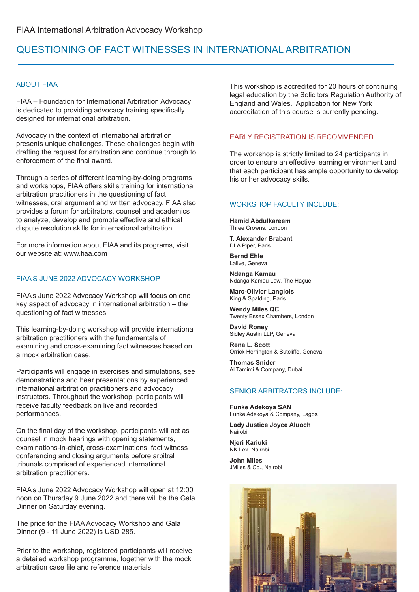## QUESTIONING OF FACT WITNESSES IN INTERNATIONAL ARBITRATION

#### ABOUT FIAA

FIAA – Foundation for International Arbitration Advocacy is dedicated to providing advocacy training specifically designed for international arbitration.

Advocacy in the context of international arbitration presents unique challenges. These challenges begin with drafting the request for arbitration and continue through to enforcement of the final award.

Through a series of different learning-by-doing programs and workshops, FIAA offers skills training for international arbitration practitioners in the questioning of fact witnesses, oral argument and written advocacy. FIAA also provides a forum for arbitrators, counsel and academics to analyze, develop and promote effective and ethical dispute resolution skills for international arbitration.

For more information about FIAA and its programs, visit our website at: www.fiaa.com

#### FIAA'S JUNE 2022 ADVOCACY WORKSHOP

FIAA's June 2022 Advocacy Workshop will focus on one key aspect of advocacy in international arbitration – the questioning of fact witnesses.

This learning-by-doing workshop will provide international arbitration practitioners with the fundamentals of examining and cross-examining fact witnesses based on a mock arbitration case.

Participants will engage in exercises and simulations, see demonstrations and hear presentations by experienced international arbitration practitioners and advocacy instructors. Throughout the workshop, participants will receive faculty feedback on live and recorded performances.

On the final day of the workshop, participants will act as counsel in mock hearings with opening statements, examinations-in-chief, cross-examinations, fact witness conferencing and closing arguments before arbitral tribunals comprised of experienced international arbitration practitioners.

FIAA's June 2022 Advocacy Workshop will open at 12:00 noon on Thursday 9 June 2022 and there will be the Gala Dinner on Saturday evening.

The price for the FIAA Advocacy Workshop and Gala Dinner (9 - 11 June 2022) is USD 285.

Prior to the workshop, registered participants will receive a detailed workshop programme, together with the mock arbitration case file and reference materials.

This workshop is accredited for 20 hours of continuing legal education by the Solicitors Regulation Authority of England and Wales. Application for New York accreditation of this course is currently pending.

#### EARLY REGISTRATION IS RECOMMENDED

The workshop is strictly limited to 24 participants in order to ensure an effective learning environment and that each participant has ample opportunity to develop his or her advocacy skills.

#### WORKSHOP FACULTY INCLUDE:

**Hamid Abdulkareem**  Three Crowns, London

**T. Alexander Brabant** DLA Piper, Paris

**Bernd Ehle** Lalive, Geneva

**Ndanga Kamau** Ndanga Kamau Law, The Hague

**Marc-Olivier Langlois** King & Spalding, Paris

**Wendy Miles QC** Twenty Essex Chambers, London

**David Roney** Sidley Austin LLP, Geneva

**Rena L. Scott** Orrick Herrington & Sutcliffe, Geneva

**Thomas Snider** Al Tamimi & Company, Dubai

#### SENIOR ARBITRATORS INCLUDE:

**Funke Adekoya SAN** Funke Adekoya & Company, Lagos

**Lady Justice Joyce Aluoch** Nairobi

**Njeri Kariuki** NK Lex, Nairobi

**John Miles** JMiles & Co., Nairobi

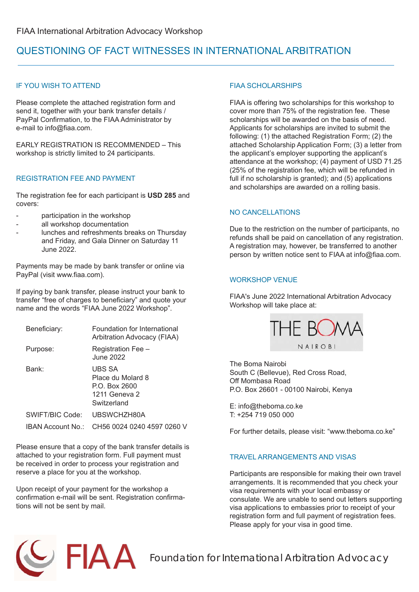## QUESTIONING OF FACT WITNESSES IN INTERNATIONAL ARBITRATION

#### IF YOU WISH TO ATTEND

Please complete the attached registration form and send it, together with your bank transfer details / PayPal Confirmation, to the FIAA Administrator by e-mail to info@fiaa.com.

EARLY REGISTRATION IS RECOMMENDED – This workshop is strictly limited to 24 participants.

#### REGISTRATION FEE AND PAYMENT

The registration fee for each participant is **USD 285** and covers:

- participation in the workshop
- all workshop documentation
- lunches and refreshments breaks on Thursday and Friday, and Gala Dinner on Saturday 11 June 2022.

Payments may be made by bank transfer or online via PayPal (visit www.fiaa.com).

If paying by bank transfer, please instruct your bank to transfer "free of charges to beneficiary" and quote your name and the words "FIAA June 2022 Workshop".

| Beneficiary:      | Foundation for International<br>Arbitration Advocacy (FIAA)                  |
|-------------------|------------------------------------------------------------------------------|
| Purpose:          | Registration Fee -<br>June 2022                                              |
| Bank:             | UBS SA<br>Place du Molard 8<br>P.O. Box 2600<br>1211 Geneva 2<br>Switzerland |
| SWIFT/BIC Code:   | UBSWCHZH80A                                                                  |
| IBAN Account No.: | CH56 0024 0240 4597 0260 V                                                   |

Please ensure that a copy of the bank transfer details is attached to your registration form. Full payment must be received in order to process your registration and reserve a place for you at the workshop.

Upon receipt of your payment for the workshop a confirmation e-mail will be sent. Registration confirmations will not be sent by mail.

#### FIAA SCHOLARSHIPS

FIAA is offering two scholarships for this workshop to cover more than 75% of the registration fee. These scholarships will be awarded on the basis of need. Applicants for scholarships are invited to submit the following: (1) the attached Registration Form; (2) the attached Scholarship Application Form; (3) a letter from the applicant's employer supporting the applicant's attendance at the workshop; (4) payment of USD 71.25 (25% of the registration fee, which will be refunded in full if no scholarship is granted); and (5) applications and scholarships are awarded on a rolling basis.

#### NO CANCELLATIONS

Due to the restriction on the number of participants, no refunds shall be paid on cancellation of any registration. A registration may, however, be transferred to another person by written notice sent to FIAA at info@fiaa.com.

#### WORKSHOP VENUE

FIAA's June 2022 International Arbitration Advocacy Workshop will take place at:



The Boma Nairobi South C (Bellevue), Red Cross Road, Off Mombasa Road P.O. Box 26601 - 00100 Nairobi, Kenya

E: info@theboma.co.ke T: +254 719 050 000

For further details, please visit: "www.theboma.co.ke"

#### TRAVEL ARRANGEMENTS AND VISAS

Participants are responsible for making their own travel arrangements. It is recommended that you check your visa requirements with your local embassy or consulate. We are unable to send out letters supporting visa applications to embassies prior to receipt of your registration form and full payment of registration fees. Please apply for your visa in good time.

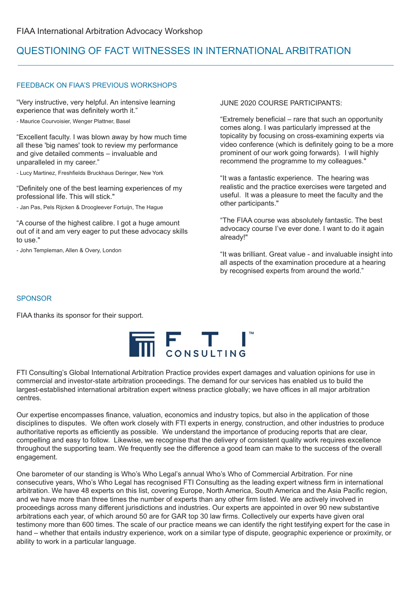## QUESTIONING OF FACT WITNESSES IN INTERNATIONAL ARBITRATION

#### FEEDBACK ON FIAA'S PREVIOUS WORKSHOPS

"Very instructive, very helpful. An intensive learning experience that was definitely worth it."

*-* Maurice Courvoisier, Wenger Plattner, Basel

"Excellent faculty. I was blown away by how much time all these 'big names' took to review my performance and give detailed comments – invaluable and unparalleled in my career."

*-* Lucy Martinez, Freshfields Bruckhaus Deringer, New York

"Definitely one of the best learning experiences of my professional life. This will stick."

*-* Jan Pas, Pels Rijcken & Droogleever Fortuijn, The Hague

"A course of the highest calibre. I got a huge amount out of it and am very eager to put these advocacy skills to use."

- John Templeman, Allen & Overy, London

JUNE 2020 COURSE PARTICIPANTS:

"Extremely beneficial – rare that such an opportunity comes along. I was particularly impressed at the topicality by focusing on cross-examining experts via video conference (which is definitely going to be a more prominent of our work going forwards). I will highly recommend the programme to my colleagues."

"It was a fantastic experience. The hearing was realistic and the practice exercises were targeted and useful. It was a pleasure to meet the faculty and the other participants."

"The FIAA course was absolutely fantastic. The best advocacy course I've ever done. I want to do it again already!"

"It was brilliant. Great value - and invaluable insight into all aspects of the examination procedure at a hearing by recognised experts from around the world."

#### SPONSOR

FIAA thanks its sponsor for their support.



FTI Consulting's Global International Arbitration Practice provides expert damages and valuation opinions for use in commercial and investor-state arbitration proceedings. The demand for our services has enabled us to build the largest-established international arbitration expert witness practice globally; we have offices in all major arbitration centres.

Our expertise encompasses finance, valuation, economics and industry topics, but also in the application of those disciplines to disputes. We often work closely with FTI experts in energy, construction, and other industries to produce authoritative reports as efficiently as possible. We understand the importance of producing reports that are clear, compelling and easy to follow. Likewise, we recognise that the delivery of consistent quality work requires excellence throughout the supporting team. We frequently see the difference a good team can make to the success of the overall engagement.

One barometer of our standing is Who's Who Legal's annual Who's Who of Commercial Arbitration. For nine consecutive years, Who's Who Legal has recognised FTI Consulting as the leading expert witness firm in international arbitration. We have 48 experts on this list, covering Europe, North America, South America and the Asia Pacific region, and we have more than three times the number of experts than any other firm listed. We are actively involved in proceedings across many different jurisdictions and industries. Our experts are appointed in over 90 new substantive arbitrations each year, of which around 50 are for GAR top 30 law firms. Collectively our experts have given oral testimony more than 600 times. The scale of our practice means we can identify the right testifying expert for the case in hand – whether that entails industry experience, work on a similar type of dispute, geographic experience or proximity, or ability to work in a particular language.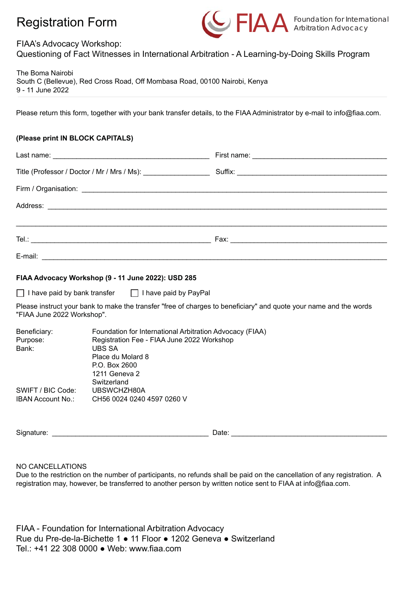## Registration Form



#### FIAA's Advocacy Workshop:

Questioning of Fact Witnesses in International Arbitration - A Learning-by-Doing Skills Program

The Boma Nairobi South C (Bellevue), Red Cross Road, Off Mombasa Road, 00100 Nairobi, Kenya 9 - 11 June 2022

Please return this form, together with your bank transfer details, to the FIAA Administrator by e-mail to info@fiaa.com.

#### **(Please print IN BLOCK CAPITALS)**

| Title (Professor / Doctor / Mr / Mrs / Ms): ___________________ |  |  |  |  |  |
|-----------------------------------------------------------------|--|--|--|--|--|
|                                                                 |  |  |  |  |  |
|                                                                 |  |  |  |  |  |
|                                                                 |  |  |  |  |  |
|                                                                 |  |  |  |  |  |
| E-mail:                                                         |  |  |  |  |  |

#### **FIAA Advocacy Workshop (9 - 11 June 2022): USD 285**

 $\Box$  I have paid by bank transfer  $\Box$  I have paid by PayPal

Please instruct your bank to make the transfer "free of charges to beneficiary" and quote your name and the words "FIAA June 2022 Workshop".

| Beneficiary:             | Foundation for International Arbitration Advocacy (FIAA) |
|--------------------------|----------------------------------------------------------|
| Purpose:                 | Registration Fee - FIAA June 2022 Workshop               |
| Bank:                    | UBS SA                                                   |
|                          | Place du Molard 8                                        |
|                          | P.O. Box 2600                                            |
|                          | 1211 Geneva 2                                            |
|                          | Switzerland                                              |
| SWIFT / BIC Code:        | UBSWCHZH80A                                              |
| <b>IBAN Account No.:</b> | CH56 0024 0240 4597 0260 V                               |
|                          |                                                          |

Signature: \_\_\_\_\_\_\_\_\_\_\_\_\_\_\_\_\_\_\_\_\_\_\_\_\_\_\_\_\_\_\_\_\_\_\_\_\_\_\_\_ Date: \_\_\_\_\_\_\_\_\_\_\_\_\_\_\_\_\_\_\_\_\_\_\_\_\_\_\_\_\_\_\_\_\_\_\_\_\_\_\_\_\_

NO CANCELLATIONS

Due to the restriction on the number of participants, no refunds shall be paid on the cancellation of any registration. A registration may, however, be transferred to another person by written notice sent to FIAA at info@fiaa.com.

FIAA - Foundation for International Arbitration Advocacy Rue du Pre-de-la-Bichette 1 ● 11 Floor ● 1202 Geneva ● Switzerland Tel.: +41 22 308 0000 ● Web: www.fiaa.com